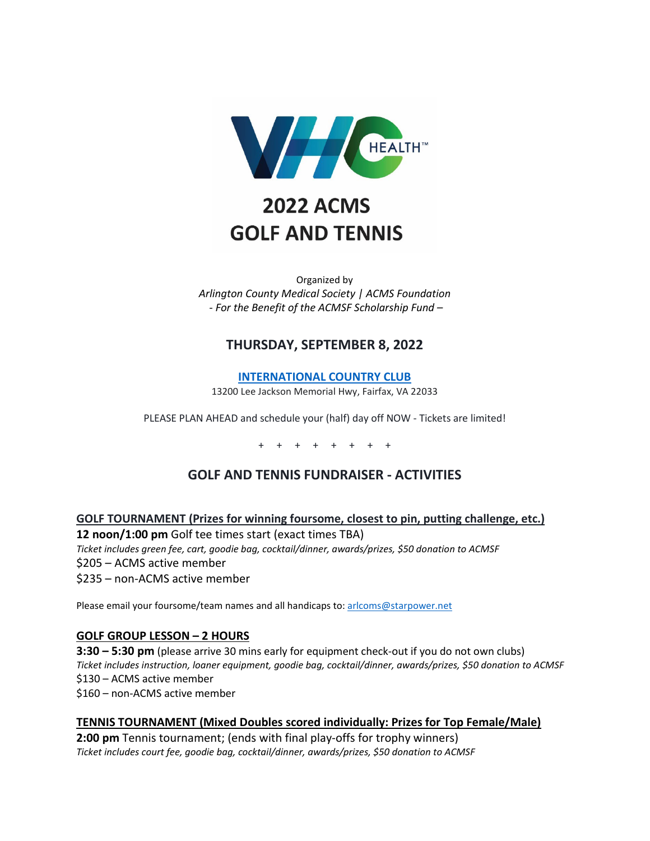

# **2022 ACMS GOLF AND TENNIS**

Organized by *Arlington County Medical Society | ACMS Foundation - For the Benefit of the ACMSF Scholarship Fund –*

## **THURSDAY, SEPTEMBER 8, 2022**

**[INTERNATIONAL COUNTRY CLUB](https://internationalcc.com/)**

13200 Lee Jackson Memorial Hwy, Fairfax, VA 22033

PLEASE PLAN AHEAD and schedule your (half) day off NOW - Tickets are limited!

+ + + + + + + +

## **GOLF AND TENNIS FUNDRAISER - ACTIVITIES**

**GOLF TOURNAMENT (Prizes for winning foursome, closest to pin, putting challenge, etc.)**

**12 noon/1:00 pm** Golf tee times start (exact times TBA)

*Ticket includes green fee, cart, goodie bag, cocktail/dinner, awards/prizes, \$50 donation to ACMSF*

\$205 – ACMS active member

\$235 – non-ACMS active member

Please email your foursome/team names and all handicaps to[: arlcoms@starpower.net](mailto:arlcoms@starpower.net)

#### **GOLF GROUP LESSON – 2 HOURS**

**3:30 – 5:30 pm** (please arrive 30 mins early for equipment check-out if you do not own clubs) *Ticket includes instruction, loaner equipment, goodie bag, cocktail/dinner, awards/prizes, \$50 donation to ACMSF* \$130 – ACMS active member \$160 – non-ACMS active member

#### **TENNIS TOURNAMENT (Mixed Doubles scored individually: Prizes for Top Female/Male)**

**2:00 pm** Tennis tournament; (ends with final play-offs for trophy winners) *Ticket includes court fee, goodie bag, cocktail/dinner, awards/prizes, \$50 donation to ACMSF*